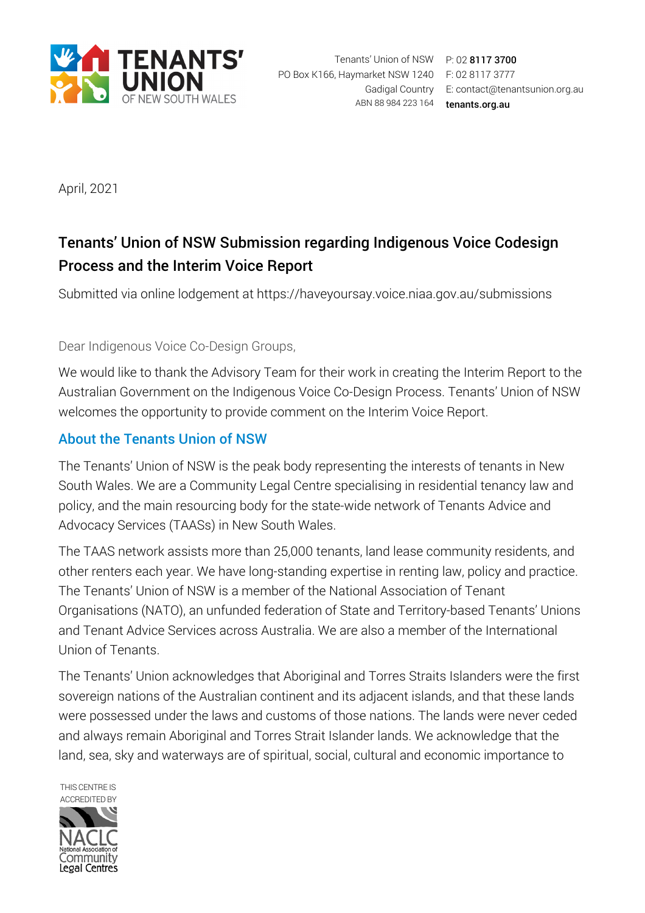

Gadigal Country E: contact@tenantsunion.org.au ABN 88 984 223 164 tenants.org.au

April, 2021

# Tenants' Union of NSW Submission regarding Indigenous Voice Codesign Process and the Interim Voice Report

Submitted via online lodgement at https://haveyoursay.voice.niaa.gov.au/submissions

#### Dear Indigenous Voice Co-Design Groups,

We would like to thank the Advisory Team for their work in creating the Interim Report to the Australian Government on the Indigenous Voice Co-Design Process. Tenants' Union of NSW welcomes the opportunity to provide comment on the Interim Voice Report.

### About the Tenants Union of NSW

The Tenants' Union of NSW is the peak body representing the interests of tenants in New South Wales. We are a Community Legal Centre specialising in residential tenancy law and policy, and the main resourcing body for the state-wide network of Tenants Advice and Advocacy Services (TAASs) in New South Wales.

The TAAS network assists more than 25,000 tenants, land lease community residents, and other renters each year. We have long-standing expertise in renting law, policy and practice. The Tenants' Union of NSW is a member of the National Association of Tenant Organisations (NATO), an unfunded federation of State and Territory-based Tenants' Unions and Tenant Advice Services across Australia. We are also a member of the International Union of Tenants.

The Tenants' Union acknowledges that Aboriginal and Torres Straits Islanders were the first sovereign nations of the Australian continent and its adjacent islands, and that these lands were possessed under the laws and customs of those nations. The lands were never ceded and always remain Aboriginal and Torres Strait Islander lands. We acknowledge that the land, sea, sky and waterways are of spiritual, social, cultural and economic importance to

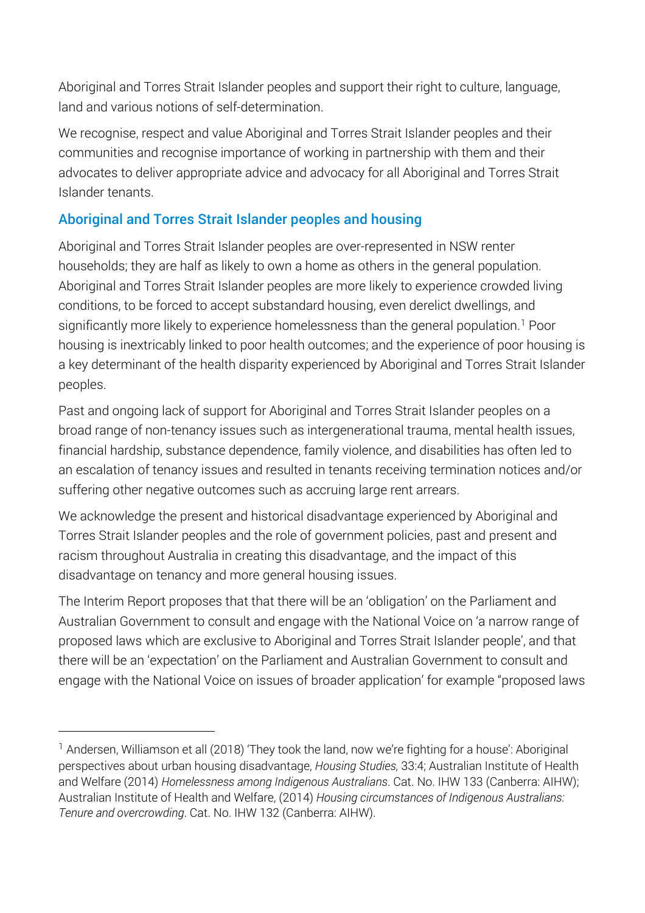Aboriginal and Torres Strait Islander peoples and support their right to culture, language, land and various notions of self-determination.

We recognise, respect and value Aboriginal and Torres Strait Islander peoples and their communities and recognise importance of working in partnership with them and their advocates to deliver appropriate advice and advocacy for all Aboriginal and Torres Strait Islander tenants.

### Aboriginal and Torres Strait Islander peoples and housing

Aboriginal and Torres Strait Islander peoples are over-represented in NSW renter households; they are half as likely to own a home as others in the general population. Aboriginal and Torres Strait Islander peoples are more likely to experience crowded living conditions, to be forced to accept substandard housing, even derelict dwellings, and significantly more likely to experience homelessness than the general population.<sup>1</sup> Poor housing is inextricably linked to poor health outcomes; and the experience of poor housing is a key determinant of the health disparity experienced by Aboriginal and Torres Strait Islander peoples.

Past and ongoing lack of support for Aboriginal and Torres Strait Islander peoples on a broad range of non-tenancy issues such as intergenerational trauma, mental health issues, financial hardship, substance dependence, family violence, and disabilities has often led to an escalation of tenancy issues and resulted in tenants receiving termination notices and/or suffering other negative outcomes such as accruing large rent arrears.

We acknowledge the present and historical disadvantage experienced by Aboriginal and Torres Strait Islander peoples and the role of government policies, past and present and racism throughout Australia in creating this disadvantage, and the impact of this disadvantage on tenancy and more general housing issues.

The Interim Report proposes that that there will be an 'obligation' on the Parliament and Australian Government to consult and engage with the National Voice on 'a narrow range of proposed laws which are exclusive to Aboriginal and Torres Strait Islander people', and that there will be an 'expectation' on the Parliament and Australian Government to consult and engage with the National Voice on issues of broader application' for example "proposed laws

 $\overline{a}$ 

<span id="page-1-0"></span><sup>&</sup>lt;sup>1</sup> Andersen, Williamson et all (2018) 'They took the land, now we're fighting for a house': Aboriginal perspectives about urban housing disadvantage, *Housing Studies,* 33:4; Australian Institute of Health and Welfare (2014) *Homelessness among Indigenous Australians*. Cat. No. IHW 133 (Canberra: AIHW); Australian Institute of Health and Welfare, (2014) *Housing circumstances of Indigenous Australians: Tenure and overcrowding*. Cat. No. IHW 132 (Canberra: AIHW).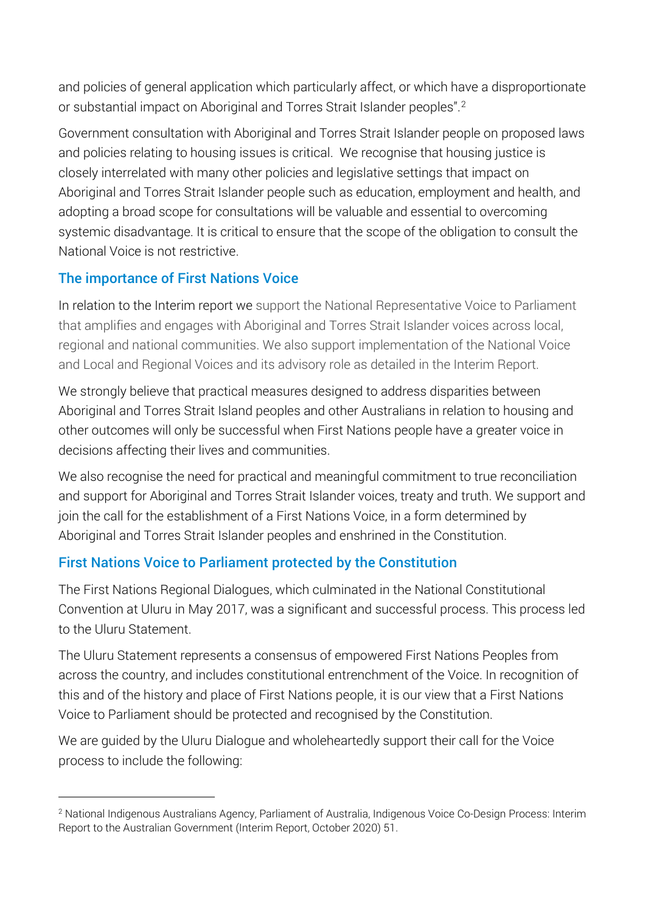and policies of general application which particularly affect, or which have a disproportionate or substantial impact on Aboriginal and Torres Strait Islander peoples".[2](#page-2-0)

Government consultation with Aboriginal and Torres Strait Islander people on proposed laws and policies relating to housing issues is critical. We recognise that housing justice is closely interrelated with many other policies and legislative settings that impact on Aboriginal and Torres Strait Islander people such as education, employment and health, and adopting a broad scope for consultations will be valuable and essential to overcoming systemic disadvantage. It is critical to ensure that the scope of the obligation to consult the National Voice is not restrictive.

## The importance of First Nations Voice

 $\overline{a}$ 

In relation to the Interim report we support the National Representative Voice to Parliament that amplifies and engages with Aboriginal and Torres Strait Islander voices across local, regional and national communities. We also support implementation of the National Voice and Local and Regional Voices and its advisory role as detailed in the Interim Report.

We strongly believe that practical measures designed to address disparities between Aboriginal and Torres Strait Island peoples and other Australians in relation to housing and other outcomes will only be successful when First Nations people have a greater voice in decisions affecting their lives and communities.

We also recognise the need for practical and meaningful commitment to true reconciliation and support for Aboriginal and Torres Strait Islander voices, treaty and truth. We support and join the call for the establishment of a First Nations Voice, in a form determined by Aboriginal and Torres Strait Islander peoples and enshrined in the Constitution.

### First Nations Voice to Parliament protected by the Constitution

The First Nations Regional Dialogues, which culminated in the National Constitutional Convention at Uluru in May 2017, was a significant and successful process. This process led to the Uluru Statement.

The Uluru Statement represents a consensus of empowered First Nations Peoples from across the country, and includes constitutional entrenchment of the Voice. In recognition of this and of the history and place of First Nations people, it is our view that a First Nations Voice to Parliament should be protected and recognised by the Constitution.

We are guided by the Uluru Dialogue and wholeheartedly support their call for the Voice process to include the following:

<span id="page-2-0"></span><sup>2</sup> National Indigenous Australians Agency, Parliament of Australia, Indigenous Voice Co-Design Process: Interim Report to the Australian Government (Interim Report, October 2020) 51.